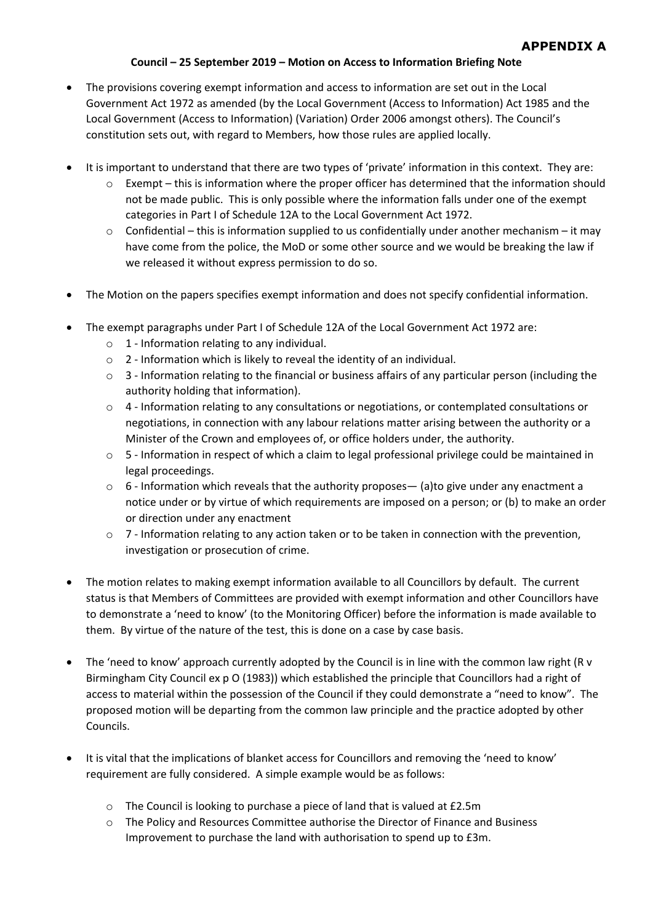## **Council – 25 September 2019 – Motion on Access to Information Briefing Note**

- The provisions covering exempt information and access to information are set out in the Local Government Act 1972 as amended (by the Local Government (Access to Information) Act 1985 and the Local Government (Access to Information) (Variation) Order 2006 amongst others). The Council's constitution sets out, with regard to Members, how those rules are applied locally.
- It is important to understand that there are two types of 'private' information in this context. They are:
	- o Exempt this is information where the proper officer has determined that the information should not be made public. This is only possible where the information falls under one of the exempt categories in Part I of Schedule 12A to the Local Government Act 1972.
	- $\circ$  Confidential this is information supplied to us confidentially under another mechanism it may have come from the police, the MoD or some other source and we would be breaking the law if we released it without express permission to do so.
- The Motion on the papers specifies exempt information and does not specify confidential information.
- The exempt paragraphs under Part I of Schedule 12A of the Local Government Act 1972 are:
	- $\circ$  1 Information relating to any individual.
	- o 2 Information which is likely to reveal the identity of an individual.
	- $\circ$  3 Information relating to the financial or business affairs of any particular person (including the authority holding that information).
	- o 4 Information relating to any consultations or negotiations, or contemplated consultations or negotiations, in connection with any labour relations matter arising between the authority or a Minister of the Crown and employees of, or office holders under, the authority.
	- $\circ$  5 Information in respect of which a claim to legal professional privilege could be maintained in legal proceedings.
	- $\circ$  6 Information which reveals that the authority proposes— (a)to give under any enactment a notice under or by virtue of which requirements are imposed on a person; or (b) to make an order or direction under any enactment
	- $\circ$  7 Information relating to any action taken or to be taken in connection with the prevention, investigation or prosecution of crime.
- The motion relates to making exempt information available to all Councillors by default. The current status is that Members of Committees are provided with exempt information and other Councillors have to demonstrate a 'need to know' (to the Monitoring Officer) before the information is made available to them. By virtue of the nature of the test, this is done on a case by case basis.
- The 'need to know' approach currently adopted by the Council is in line with the common law right (R v Birmingham City Council ex p O (1983)) which established the principle that Councillors had a right of access to material within the possession of the Council if they could demonstrate a "need to know". The proposed motion will be departing from the common law principle and the practice adopted by other Councils.
- It is vital that the implications of blanket access for Councillors and removing the 'need to know' requirement are fully considered. A simple example would be as follows:
	- o The Council is looking to purchase a piece of land that is valued at £2.5m
	- $\circ$  The Policy and Resources Committee authorise the Director of Finance and Business Improvement to purchase the land with authorisation to spend up to £3m.